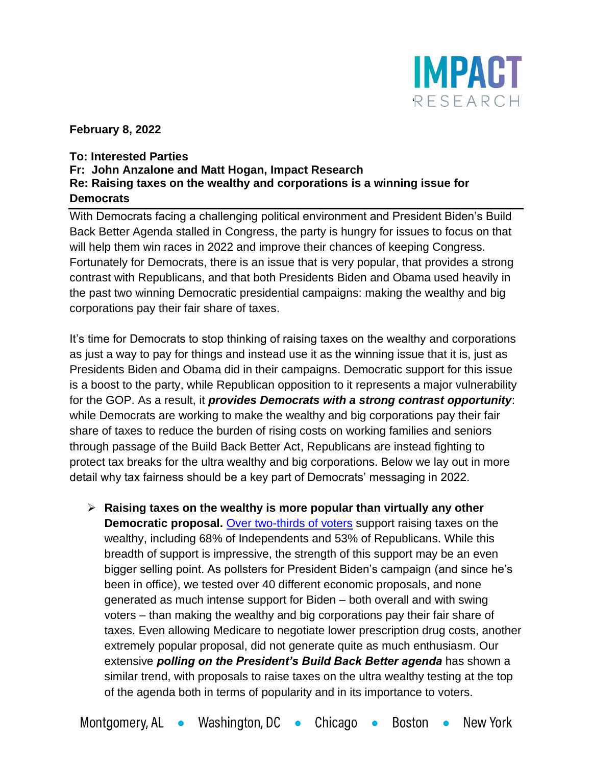

**February 8, 2022**

## **To: Interested Parties Fr: John Anzalone and Matt Hogan, Impact Research Re: Raising taxes on the wealthy and corporations is a winning issue for Democrats**

With Democrats facing a challenging political environment and President Biden's Build Back Better Agenda stalled in Congress, the party is hungry for issues to focus on that will help them win races in 2022 and improve their chances of keeping Congress. Fortunately for Democrats, there is an issue that is very popular, that provides a strong contrast with Republicans, and that both Presidents Biden and Obama used heavily in the past two winning Democratic presidential campaigns: making the wealthy and big corporations pay their fair share of taxes.

It's time for Democrats to stop thinking of raising taxes on the wealthy and corporations as just a way to pay for things and instead use it as the winning issue that it is, just as Presidents Biden and Obama did in their campaigns. Democratic support for this issue is a boost to the party, while Republican opposition to it represents a major vulnerability for the GOP. As a result, it *provides Democrats with a strong contrast opportunity*: while Democrats are working to make the wealthy and big corporations pay their fair share of taxes to reduce the burden of rising costs on working families and seniors through passage of the Build Back Better Act, Republicans are instead fighting to protect tax breaks for the ultra wealthy and big corporations. Below we lay out in more detail why tax fairness should be a key part of Democrats' messaging in 2022.

➢ **Raising taxes on the wealthy is more popular than virtually any other Democratic proposal.** [Over two-thirds of voters](https://morningconsult.com/2021/09/22/house-democrats-tax-plan-raising-taxes-wealthy-corporations-poll/) support raising taxes on the wealthy, including 68% of Independents and 53% of Republicans. While this breadth of support is impressive, the strength of this support may be an even bigger selling point. As pollsters for President Biden's campaign (and since he's been in office), we tested over 40 different economic proposals, and none generated as much intense support for Biden – both overall and with swing voters – than making the wealthy and big corporations pay their fair share of taxes. Even allowing Medicare to negotiate lower prescription drug costs, another extremely popular proposal, did not generate quite as much enthusiasm. Our extensive *polling on the President's Build Back Better agenda* has shown a similar trend, with proposals to raise taxes on the ultra wealthy testing at the top of the agenda both in terms of popularity and in its importance to voters.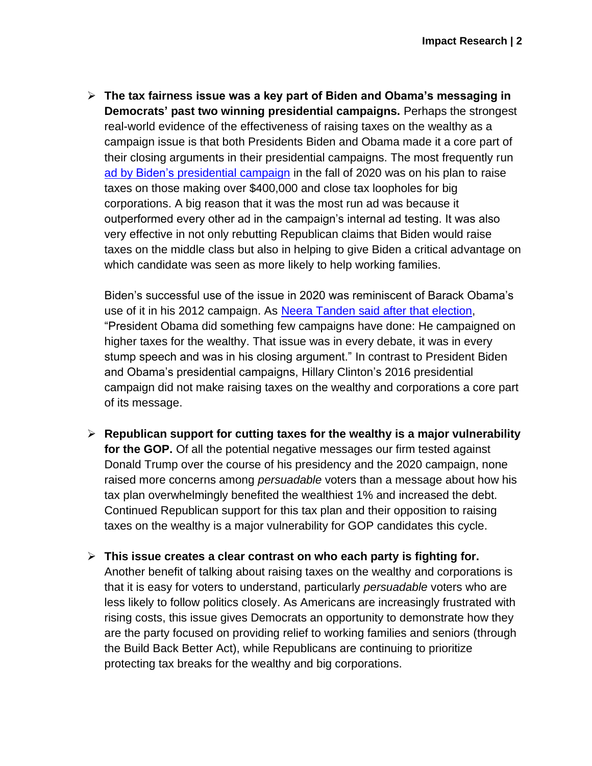➢ **The tax fairness issue was a key part of Biden and Obama's messaging in Democrats' past two winning presidential campaigns.** Perhaps the strongest real-world evidence of the effectiveness of raising taxes on the wealthy as a campaign issue is that both Presidents Biden and Obama made it a core part of their closing arguments in their presidential campaigns. The most frequently run ad by Biden's [presidential](https://www.youtube.com/watch?v=tN4dV8jwgAU) campaign in the fall of 2020 was on his plan to raise taxes on those making over \$400,000 and close tax loopholes for big corporations. A big reason that it was the most run ad was because it outperformed every other ad in the campaign's internal ad testing. It was also very effective in not only rebutting Republican claims that Biden would raise taxes on the middle class but also in helping to give Biden a critical advantage on which candidate was seen as more likely to help working families.

Biden's successful use of the issue in 2020 was reminiscent of Barack Obama's use of it in his 2012 campaign. As Neera Tanden said after that [election,](https://www.politico.com/story/2012/11/obama-sees-voter-mandate-on-taxes-083502) "President Obama did something few campaigns have done: He campaigned on higher taxes for the wealthy. That issue was in every debate, it was in every stump speech and was in his closing argument." In contrast to President Biden and Obama's presidential campaigns, Hillary Clinton's 2016 presidential campaign did not make raising taxes on the wealthy and corporations a core part of its message.

- ➢ **Republican support for cutting taxes for the wealthy is a major vulnerability for the GOP.** Of all the potential negative messages our firm tested against Donald Trump over the course of his presidency and the 2020 campaign, none raised more concerns among *persuadable* voters than a message about how his tax plan overwhelmingly benefited the wealthiest 1% and increased the debt. Continued Republican support for this tax plan and their opposition to raising taxes on the wealthy is a major vulnerability for GOP candidates this cycle.
- ➢ **This issue creates a clear contrast on who each party is fighting for.**  Another benefit of talking about raising taxes on the wealthy and corporations is that it is easy for voters to understand, particularly *persuadable* voters who are less likely to follow politics closely. As Americans are increasingly frustrated with rising costs, this issue gives Democrats an opportunity to demonstrate how they are the party focused on providing relief to working families and seniors (through the Build Back Better Act), while Republicans are continuing to prioritize protecting tax breaks for the wealthy and big corporations.